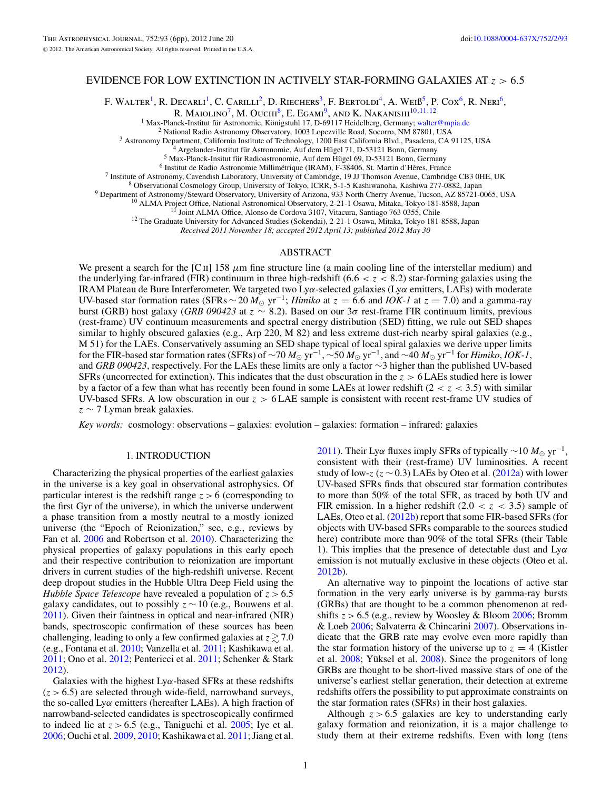# EVIDENCE FOR LOW EXTINCTION IN ACTIVELY STAR-FORMING GALAXIES AT *z >* 6*.*5

F. WALTER<sup>1</sup>, R. DECARLI<sup>1</sup>, C. CARILLI<sup>2</sup>, D. RIECHERS<sup>3</sup>, F. BERTOLDI<sup>4</sup>, A. WEIB<sup>5</sup>, P. COX<sup>6</sup>, R. NERI<sup>6</sup>,

R. MAIOLINO<sup>7</sup>, M. OUCHI<sup>8</sup>, E. EGAMI<sup>9</sup>, AND K. NAKANISHI<sup>10,11,12</sup><br><sup>1</sup> Max-Planck-Institut für Astronomie, Königstuhl 17, D-69117 Heidelberg, Germany; walter@mpia.de

<sup>1</sup> Max-Planck-Institut für Astronomie, Königstuhl 17, D-69117 Heidelberg, Germany; [walter@mpia.de](mailto:walter@mpia.de)<br>
<sup>2</sup> National Radio Astronomy Observatory, 1003 Lopezville Road, Socorro, NM 87801, USA<br>
<sup>2</sup> Astronomy Department, Califor

*Received 2011 November 18; accepted 2012 April 13; published 2012 May 30*

# ABSTRACT

We present a search for the [C ii] 158  $\mu$ m fine structure line (a main cooling line of the interstellar medium) and the underlying far-infrared (FIR) continuum in three high-redshift (6*.*6 *<z<* 8*.*2) star-forming galaxies using the IRAM Plateau de Bure Interferometer. We targeted two Ly*α*-selected galaxies (Ly*α* emitters, LAEs) with moderate UV-based star formation rates (SFRs  $\sim$  20  $M_{\odot}$  yr<sup>-1</sup>; *Himiko* at  $z = 6.6$  and *IOK-1* at  $z = 7.0$ ) and a gamma-ray burst (GRB) host galaxy (*GRB 090423* at *z* ∼ 8*.*2). Based on our 3*σ* rest-frame FIR continuum limits, previous (rest-frame) UV continuum measurements and spectral energy distribution (SED) fitting, we rule out SED shapes similar to highly obscured galaxies (e.g., Arp 220, M 82) and less extreme dust-rich nearby spiral galaxies (e.g., M 51) for the LAEs. Conservatively assuming an SED shape typical of local spiral galaxies we derive upper limits for the FIR-based star formation rates (SFRs) of  $\sim$ 70  $M_{\odot}$  yr<sup>-1</sup>,  $\sim$ 50  $M_{\odot}$  yr<sup>-1</sup>, and  $\sim$ 40  $M_{\odot}$  yr<sup>-1</sup> for *Himiko*, *IOK-1*, and *GRB 090423*, respectively. For the LAEs these limits are only a factor ∼3 higher than the published UV-based SFRs (uncorrected for extinction). This indicates that the dust obscuration in the *z >* 6 LAEs studied here is lower by a factor of a few than what has recently been found in some LAEs at lower redshift  $(2 < z < 3.5)$  with similar UV-based SFRs. A low obscuration in our *z >* 6 LAE sample is consistent with recent rest-frame UV studies of *z* ∼ 7 Lyman break galaxies.

*Key words:* cosmology: observations – galaxies: evolution – galaxies: formation – infrared: galaxies

## 1. INTRODUCTION

Characterizing the physical properties of the earliest galaxies in the universe is a key goal in observational astrophysics. Of particular interest is the redshift range  $z > 6$  (corresponding to the first Gyr of the universe), in which the universe underwent a phase transition from a mostly neutral to a mostly ionized universe (the "Epoch of Reionization," see, e.g., reviews by Fan et al. [2006](#page-4-0) and Robertson et al. [2010\)](#page-4-0). Characterizing the physical properties of galaxy populations in this early epoch and their respective contribution to reionization are important drivers in current studies of the high-redshift universe. Recent deep dropout studies in the Hubble Ultra Deep Field using the *Hubble Space Telescope* have revealed a population of *z >* 6.5 galaxy candidates, out to possibly *z* ∼ 10 (e.g., Bouwens et al. [2011\)](#page-4-0). Given their faintness in optical and near-infrared (NIR) bands, spectroscopic confirmation of these sources has been challenging, leading to only a few confirmed galaxies at  $z \gtrsim 7.0$ (e.g., Fontana et al. [2010;](#page-4-0) Vanzella et al. [2011;](#page-5-0) Kashikawa et al. [2011;](#page-4-0) Ono et al. [2012;](#page-4-0) Pentericci et al. [2011;](#page-4-0) Schenker & Stark [2012\)](#page-4-0).

Galaxies with the highest Ly*α*-based SFRs at these redshifts  $(z > 6.5)$  are selected through wide-field, narrowband surveys, the so-called Ly*α* emitters (hereafter LAEs). A high fraction of narrowband-selected candidates is spectroscopically confirmed to indeed lie at  $z > 6.5$  (e.g., Taniguchi et al. [2005;](#page-5-0) Iye et al. [2006;](#page-4-0) Ouchi et al. [2009,](#page-4-0) [2010;](#page-4-0) Kashikawa et al. [2011;](#page-4-0) Jiang et al.

[2011\)](#page-4-0). Their Lyα fluxes imply SFRs of typically ~10  $M_{\odot}$  yr<sup>-1</sup>, consistent with their (rest-frame) UV luminosities. A recent study of low-*z* ( $z \sim 0.3$ ) LAEs by Oteo et al. [\(2012a\)](#page-4-0) with lower UV-based SFRs finds that obscured star formation contributes to more than 50% of the total SFR, as traced by both UV and FIR emission. In a higher redshift  $(2.0 < z < 3.5)$  sample of LAEs, Oteo et al. [\(2012b\)](#page-4-0) report that some FIR-based SFRs (for objects with UV-based SFRs comparable to the sources studied here) contribute more than 90% of the total SFRs (their Table 1). This implies that the presence of detectable dust and Ly*α* emission is not mutually exclusive in these objects (Oteo et al. [2012b\)](#page-4-0).

An alternative way to pinpoint the locations of active star formation in the very early universe is by gamma-ray bursts (GRBs) that are thought to be a common phenomenon at redshifts  $z > 6.5$  (e.g., review by Woosley & Bloom [2006;](#page-5-0) Bromm & Loeb [2006;](#page-4-0) Salvaterra & Chincarini [2007\)](#page-4-0). Observations indicate that the GRB rate may evolve even more rapidly than the star formation history of the universe up to  $z = 4$  (Kistler et al.  $2008$ ; Yüksel et al.  $2008$ ). Since the progenitors of long GRBs are thought to be short-lived massive stars of one of the universe's earliest stellar generation, their detection at extreme redshifts offers the possibility to put approximate constraints on the star formation rates (SFRs) in their host galaxies.

Although *z >* 6.5 galaxies are key to understanding early galaxy formation and reionization, it is a major challenge to study them at their extreme redshifts. Even with long (tens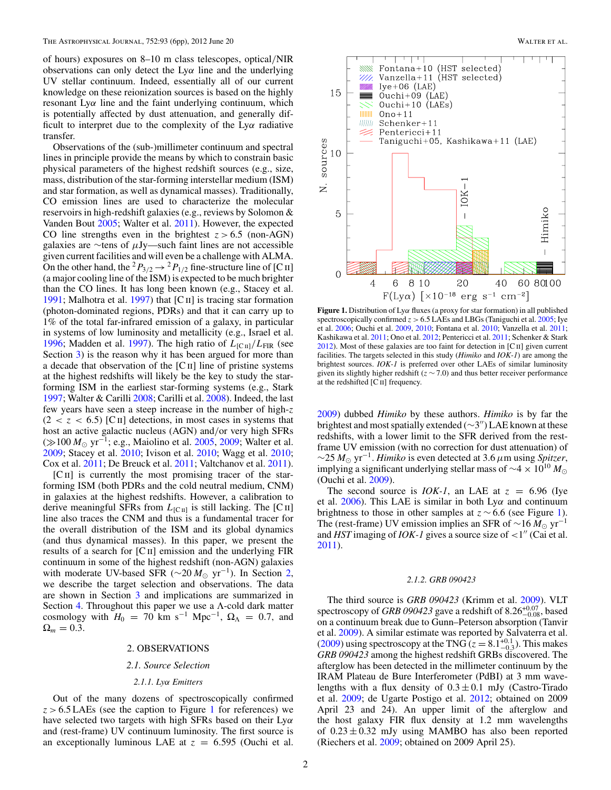of hours) exposures on 8–10 m class telescopes, optical*/*NIR observations can only detect the Ly*α* line and the underlying UV stellar continuum. Indeed, essentially all of our current knowledge on these reionization sources is based on the highly resonant Ly*α* line and the faint underlying continuum, which is potentially affected by dust attenuation, and generally difficult to interpret due to the complexity of the Ly*α* radiative transfer.

Observations of the (sub-)millimeter continuum and spectral lines in principle provide the means by which to constrain basic physical parameters of the highest redshift sources (e.g., size, mass, distribution of the star-forming interstellar medium (ISM) and star formation, as well as dynamical masses). Traditionally, CO emission lines are used to characterize the molecular reservoirs in high-redshift galaxies (e.g., reviews by Solomon & Vanden Bout [2005;](#page-4-0) Walter et al. [2011\)](#page-5-0). However, the expected CO line strengths even in the brightest  $z > 6.5$  (non-AGN) galaxies are ∼tens of *μ*Jy—such faint lines are not accessible given current facilities and will even be a challenge with ALMA. On the other hand, the <sup>2</sup> $P_{3/2}$   $\rightarrow$  <sup>2</sup> $P_{1/2}$  fine-structure line of [C II] (a major cooling line of the ISM) is expected to be much brighter than the CO lines. It has long been known (e.g., Stacey et al. [1991;](#page-4-0) Malhotra et al. [1997\)](#page-4-0) that [Cii] is tracing star formation (photon-dominated regions, PDRs) and that it can carry up to 1% of the total far-infrared emission of a galaxy, in particular in systems of low luminosity and metallicity (e.g., Israel et al. [1996;](#page-4-0) Madden et al. [1997\)](#page-4-0). The high ratio of  $L_{\text{[C\textsc{ii}]}}/L_{\text{FIR}}$  (see Section [3\)](#page-2-0) is the reason why it has been argued for more than a decade that observation of the  $[C<sub>II</sub>]$  line of pristine systems at the highest redshifts will likely be the key to study the starforming ISM in the earliest star-forming systems (e.g., Stark [1997;](#page-4-0) Walter & Carilli [2008;](#page-5-0) Carilli et al. [2008\)](#page-4-0). Indeed, the last few years have seen a steep increase in the number of high-*z*  $(2 < z < 6.5)$  [C II] detections, in most cases in systems that host an active galactic nucleus (AGN) and*/*or very high SFRs (≫100 *M*<sub>⊙</sub> yr<sup>-1</sup>; e.g., Maiolino et al. [2005,](#page-4-0) [2009;](#page-4-0) Walter et al. [2009;](#page-5-0) Stacey et al. [2010;](#page-4-0) Ivison et al. [2010;](#page-4-0) Wagg et al. [2010;](#page-5-0) Cox et al. [2011;](#page-4-0) De Breuck et al. [2011;](#page-4-0) Valtchanov et al. [2011\)](#page-5-0).

[CII] is currently the most promising tracer of the starforming ISM (both PDRs and the cold neutral medium, CNM) in galaxies at the highest redshifts. However, a calibration to derive meaningful SFRs from  $L_{\text{[CII]}}$  is still lacking. The [C II] line also traces the CNM and thus is a fundamental tracer for the overall distribution of the ISM and its global dynamics (and thus dynamical masses). In this paper, we present the results of a search for  $\lbrack$  C  $\lbrack$  and  $\lbrack$  emission and the underlying FIR continuum in some of the highest redshift (non-AGN) galaxies with moderate UV-based SFR ( $\sim$ 20  $M_{\odot}$  yr<sup>-1</sup>). In Section 2, we describe the target selection and observations. The data are shown in Section [3](#page-2-0) and implications are summarized in Section [4.](#page-4-0) Throughout this paper we use a Λ-cold dark matter cosmology with  $H_0 = 70$  km s<sup>-1</sup> Mpc<sup>-1</sup>,  $\Omega_{\Lambda} = 0.7$ , and  $\Omega_m = 0.3$ .

#### 2. OBSERVATIONS

#### *2.1. Source Selection*

## *2.1.1. Lyα Emitters*

Out of the many dozens of spectroscopically confirmed *z >* 6.5 LAEs (see the caption to Figure 1 for references) we have selected two targets with high SFRs based on their Ly*α* and (rest-frame) UV continuum luminosity. The first source is an exceptionally luminous LAE at  $z = 6.595$  (Ouchi et al.



**Figure 1.** Distribution of Ly*α* fluxes (a proxy for star formation) in all published spectroscopically confirmed  $z > 6.5$  LAEs and LBGs (Taniguchi et al.  $2005$ ; Iye et al. [2006;](#page-4-0) Ouchi et al. [2009,](#page-4-0) [2010;](#page-4-0) Fontana et al. [2010;](#page-4-0) Vanzella et al. [2011;](#page-5-0) Kashikawa et al. [2011;](#page-4-0) Ono et al. [2012;](#page-4-0) Pentericci et al. [2011;](#page-4-0) Schenker & Stark  $2012$ ). Most of these galaxies are too faint for detection in [C $\text{II}$ ] given current facilities. The targets selected in this study (*Himiko* and *IOK-1*) are among the brightest sources. *IOK-1* is preferred over other LAEs of similar luminosity given its slightly higher redshift ( $z \sim 7.0$ ) and thus better receiver performance at the redshifted [C ii] frequency.

[2009\)](#page-4-0) dubbed *Himiko* by these authors. *Himiko* is by far the brightest and most spatially extended ( $\sim$ 3") LAE known at these redshifts, with a lower limit to the SFR derived from the restframe UV emission (with no correction for dust attenuation) of  $\sim$ 25  $M_{\odot}$  yr<sup>-1</sup>. *Himiko* is even detected at 3.6  $\mu$ m using *Spitzer*, implying a significant underlying stellar mass of  $\sim$ 4 × 10<sup>10</sup>  $M_{\odot}$ (Ouchi et al. [2009\)](#page-4-0).

The second source is *IOK-1*, an LAE at  $z = 6.96$  (Iye et al. [2006\)](#page-4-0). This LAE is similar in both Ly*α* and continuum brightness to those in other samples at *z* ∼ 6.6 (see Figure 1). The (rest-frame) UV emission implies an SFR of  $\sim$ 16  $M_{\odot}$  yr<sup>-1</sup> and *HST* imaging of *IOK-1* gives a source size of  $\langle 1 \rangle$  (Cai et al. [2011\)](#page-4-0).

#### *2.1.2. GRB 090423*

The third source is *GRB 090423* (Krimm et al. [2009\)](#page-4-0). VLT spectroscopy of *GRB 090423* gave a redshift of 8.26<sup>+0.07</sup>, based on a continuum break due to Gunn–Peterson absorption (Tanvir et al. [2009\)](#page-5-0). A similar estimate was reported by Salvaterra et al. [\(2009\)](#page-4-0) using spectroscopy at the TNG  $(z = 8.1^{+0.1}_{-0.3})$ . This makes *GRB 090423* among the highest redshift GRBs discovered. The afterglow has been detected in the millimeter continuum by the IRAM Plateau de Bure Interferometer (PdBI) at 3 mm wavelengths with a flux density of  $0.3 \pm 0.1$  mJy (Castro-Tirado et al. [2009;](#page-4-0) de Ugarte Postigo et al. [2012;](#page-4-0) obtained on 2009 April 23 and 24). An upper limit of the afterglow and the host galaxy FIR flux density at 1.2 mm wavelengths of  $0.23 \pm 0.32$  mJy using MAMBO has also been reported (Riechers et al. [2009;](#page-4-0) obtained on 2009 April 25).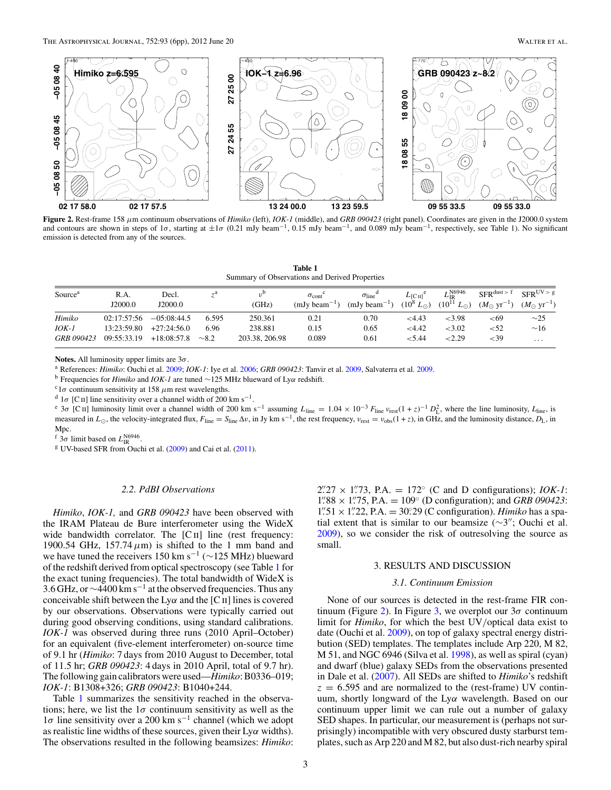<span id="page-2-0"></span>

**Figure 2.** Rest-frame 158 *μ*m continuum observations of *Himiko* (left), *IOK-1* (middle), and *GRB 090423* (right panel). Coordinates are given in the J2000.0 system and contours are shown in steps of  $1\sigma$ , starting at  $\pm 1\sigma$  (0.21 mJy beam<sup>-1</sup>, 0.15 mJy beam<sup>-1</sup>, and 0.089 mJy beam<sup>-1</sup>, respectively, see Table 1). No significant emission is detected from any of the sources.

**Table 1** Summary of Observations and Derived Properties

| Source <sup>a</sup> | R.A.<br>J2000.0 | Decl.<br>J2000.0 | ÷а         | 0 ر<br>(GHz)   | $\sigma_{\rm cont}$<br>$(mJv$ beam <sup><math>-</math></sup> | $\sigma_{\text{line}}$<br>$(mJy beam^{-1})$ | $L_{\text{ICII}}^{\text{c}}$<br>$(10^8 L_{\odot})$ | N6946<br>$L_{\rm IR}$<br>$(10^{11} L_{\odot})$ | $SFR$ dust $>$ f<br>$(M_{\odot} \text{ yr}^{-1})$ | $SFR^{UV>g}$<br>$(M_{\odot} \text{ yr}^{-1})$ |
|---------------------|-----------------|------------------|------------|----------------|--------------------------------------------------------------|---------------------------------------------|----------------------------------------------------|------------------------------------------------|---------------------------------------------------|-----------------------------------------------|
| Himiko              | 02:17:57:56     | $-0.5:08:44.5$   | 6.595      | 250.361        | 0.21                                                         | 0.70                                        | <4.43                                              | <3.98                                          | ${<}69$                                           | $\sim$ 25                                     |
| $IOK-I$             | 13:23:59.80     | $+27:24:56.0$    | 6.96       | 238.881        | 0.15                                                         | 0.65                                        | ${<}4.42$                                          | < 3.02                                         | < 52                                              | $\sim$ 16                                     |
| <b>GRB</b> 090423   | 09:55:33.19     | $+18:08:57.8$    | $\sim 8.2$ | 203.38, 206.98 | 0.089                                                        | 0.61                                        | ${<}5.44$                                          | 2.29                                           | ${<}39$                                           | $\cdot$ $\cdot$ $\cdot$                       |

**Notes.** All luminosity upper limits are 3*σ*.

<sup>a</sup> References: *Himiko*: Ouchi et al. [2009;](#page-4-0) *IOK-1*: Iye et al. [2006;](#page-4-0) *GRB 090423*: Tanvir et al. [2009,](#page-5-0) Salvaterra et al. [2009.](#page-4-0)

<sup>b</sup> Frequencies for *Himiko* and *IOK-1* are tuned <sup>∼</sup>125 MHz blueward of Ly*<sup>α</sup>* redshift. c1*<sup>σ</sup>* continuum sensitivity at 158 *<sup>μ</sup>*m rest wavelengths.

<sup>d</sup> 1σ [C<sub>II</sub>] line sensitivity over a channel width of 200 km s<sup>-1</sup>.

<sup>e</sup> 3 $\sigma$  [C<sub>II</sub>] luminosity limit over a channel width of 200 km s<sup>-1</sup> assuming  $L_{\text{line}} = 1.04 \times 10^{-3} F_{\text{line}} v_{\text{rest}} (1 + z)^{-1} D_{\text{L}}^2$ , where the line luminosity,  $L_{\text{line}}$ , is measured in  $L_{\odot}$ , the velocity-integrated flux,  $F_{\text{line}} \Delta v$ , in Jy km s<sup>-1</sup>, the rest frequency,  $v_{\text{rest}} = v_{\text{obs}}(1 + z)$ , in GHz, and the luminosity distance,  $D_{\text{L}}$ , in Mpc.

<sup>f</sup>  $3\sigma$  limit based on  $L_{\text{IR}}^{\text{N6946}}$ .

<sup>g</sup> UV-based SFR from Ouchi et al. [\(2009\)](#page-4-0) and Cai et al. [\(2011\)](#page-4-0).

## *2.2. PdBI Observations*

*Himiko*, *IOK-1,* and *GRB 090423* have been observed with the IRAM Plateau de Bure interferometer using the WideX wide bandwidth correlator. The [C<sub>II</sub>] line (rest frequency: 1900.54 GHz,  $157.74 \mu m$  is shifted to the 1 mm band and we have tuned the receivers 150 km s<sup>-1</sup> ( $\sim$ 125 MHz) blueward of the redshift derived from optical spectroscopy (see Table 1 for the exact tuning frequencies). The total bandwidth of WideX is 3.6 GHz, or  $\sim$ 4400 km s<sup>-1</sup> at the observed frequencies. Thus any conceivable shift between the Ly $\alpha$  and the [C II] lines is covered by our observations. Observations were typically carried out during good observing conditions, using standard calibrations. *IOK-1* was observed during three runs (2010 April–October) for an equivalent (five-element interferometer) on-source time of 9.1 hr (*Himiko*: 7 days from 2010 August to December, total of 11.5 hr; *GRB 090423*: 4 days in 2010 April, total of 9.7 hr). The following gain calibrators were used—*Himiko*: B0336–019; *IOK-1*: B1308+326; *GRB 090423*: B1040+244.

Table 1 summarizes the sensitivity reached in the observations; here, we list the  $1\sigma$  continuum sensitivity as well as the 1*σ* line sensitivity over a 200 km s−<sup>1</sup> channel (which we adopt as realistic line widths of these sources, given their Ly*α* widths). The observations resulted in the following beamsizes: *Himiko*:

 $2\frac{2}{27} \times 1\frac{1}{23}$ , P.A. = 172° (C and D configurations); *IOK-1*:  $1\frac{1}{88} \times 1\frac{1}{75}$ , P.A. =  $109^\circ$  (D configuration); and *GRB 090423*:  $1''.51 \times 1''.22$ , P.A. = 30.29 (C configuration). *Himiko* has a spatial extent that is similar to our beamsize ( $\sim$ 3"; Ouchi et al. [2009\)](#page-4-0), so we consider the risk of outresolving the source as small.

# 3. RESULTS AND DISCUSSION

## *3.1. Continuum Emission*

None of our sources is detected in the rest-frame FIR con-tinuum (Figure 2). In Figure [3,](#page-3-0) we overplot our  $3\sigma$  continuum limit for *Himiko*, for which the best UV*/*optical data exist to date (Ouchi et al. [2009\)](#page-4-0), on top of galaxy spectral energy distribution (SED) templates. The templates include Arp 220, M 82, M 51, and NGC 6946 (Silva et al. [1998\)](#page-4-0), as well as spiral (cyan) and dwarf (blue) galaxy SEDs from the observations presented in Dale et al. [\(2007\)](#page-4-0). All SEDs are shifted to *Himiko*'s redshift  $z = 6.595$  and are normalized to the (rest-frame) UV continuum, shortly longward of the Ly*α* wavelength. Based on our continuum upper limit we can rule out a number of galaxy SED shapes. In particular, our measurement is (perhaps not surprisingly) incompatible with very obscured dusty starburst templates, such as Arp 220 and M 82, but also dust-rich nearby spiral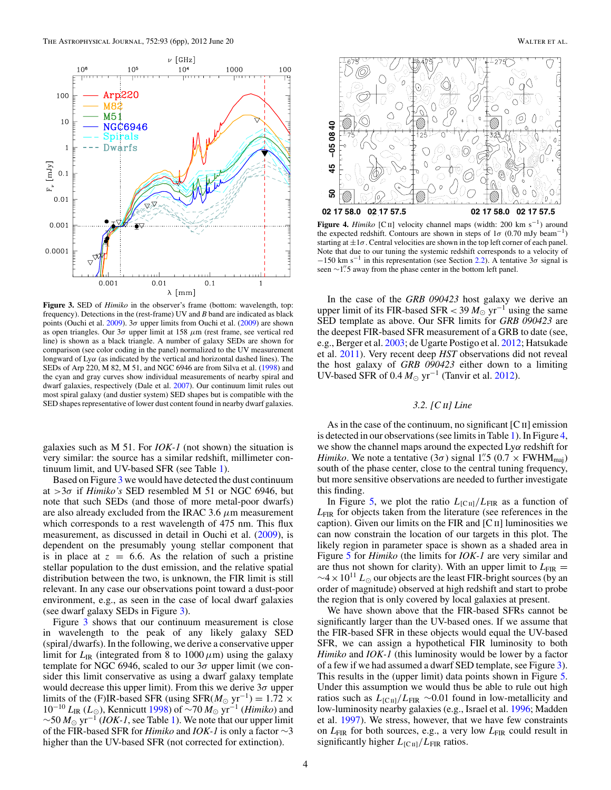<span id="page-3-0"></span>

**Figure 3.** SED of *Himiko* in the observer's frame (bottom: wavelength, top: frequency). Detections in the (rest-frame) UV and *B* band are indicated as black points (Ouchi et al. [2009\)](#page-4-0). 3*σ* upper limits from Ouchi et al. [\(2009\)](#page-4-0) are shown as open triangles. Our 3*σ* upper limit at 158 *μ*m (rest frame, see vertical red line) is shown as a black triangle. A number of galaxy SEDs are shown for comparison (see color coding in the panel) normalized to the UV measurement longward of Ly*α* (as indicated by the vertical and horizontal dashed lines). The SEDs of Arp 220, M 82, M 51, and NGC 6946 are from Silva et al. [\(1998\)](#page-4-0) and the cyan and gray curves show individual measurements of nearby spiral and dwarf galaxies, respectively (Dale et al. [2007\)](#page-4-0). Our continuum limit rules out most spiral galaxy (and dustier system) SED shapes but is compatible with the SED shapes representative of lower dust content found in nearby dwarf galaxies.

galaxies such as M 51. For *IOK-1* (not shown) the situation is very similar: the source has a similar redshift, millimeter continuum limit, and UV-based SFR (see Table [1\)](#page-2-0).

Based on Figure 3 we would have detected the dust continuum at *>*3*σ* if *Himiko's* SED resembled M 51 or NGC 6946, but note that such SEDs (and those of more metal-poor dwarfs) are also already excluded from the IRAC 3.6 *μ*m measurement which corresponds to a rest wavelength of 475 nm. This flux measurement, as discussed in detail in Ouchi et al. [\(2009\)](#page-4-0), is dependent on the presumably young stellar component that is in place at  $z = 6.6$ . As the relation of such a pristine stellar population to the dust emission, and the relative spatial distribution between the two, is unknown, the FIR limit is still relevant. In any case our observations point toward a dust-poor environment, e.g., as seen in the case of local dwarf galaxies (see dwarf galaxy SEDs in Figure 3).

Figure 3 shows that our continuum measurement is close in wavelength to the peak of any likely galaxy SED (spiral*/*dwarfs). In the following, we derive a conservative upper limit for  $L_{IR}$  (integrated from 8 to  $1000 \,\mu m$ ) using the galaxy template for NGC 6946, scaled to our 3*σ* upper limit (we consider this limit conservative as using a dwarf galaxy template would decrease this upper limit). From this we derive 3*σ* upper limits of the (F)IR-based SFR (using SFR $(M_{\odot} \text{ yr}^{-1}) = 1.72 \times 10^{-10}$ <sup>10</sup>−<sup>10</sup> *<sup>L</sup>*IR (*L*), Kennicutt [1998\)](#page-4-0) of <sup>∼</sup><sup>70</sup> *<sup>M</sup>* yr−<sup>1</sup> (*Himiko*) and <sup>∼</sup><sup>50</sup> *<sup>M</sup>* yr−<sup>1</sup> (*IOK-1*, see Table [1\)](#page-2-0). We note that our upper limit of the FIR-based SFR for *Himiko* and *IOK-1* is only a factor ∼3 higher than the UV-based SFR (not corrected for extinction).



**Figure 4.** *Himiko* [Cii] velocity channel maps (width: 200 km s−1) around the expected redshift. Contours are shown in steps of  $1\sigma$  (0.70 mJy beam<sup>-1</sup>) starting at  $\pm 1\sigma$ . Central velocities are shown in the top left corner of each panel. Note that due to our tuning the systemic redshift corresponds to a velocity of  $-150$  km s<sup>-1</sup> in this representation (see Section [2.2\)](#page-2-0). A tentative 3 $\sigma$  signal is seen ∼1<sup>''</sup>. S away from the phase center in the bottom left panel.

In the case of the *GRB 090423* host galaxy we derive an upper limit of its FIR-based SFR <  $39 M_{\odot}$  yr<sup>-1</sup> using the same SED template as above. Our SFR limits for *GRB 090423* are the deepest FIR-based SFR measurement of a GRB to date (see, e.g., Berger et al. [2003;](#page-4-0) de Ugarte Postigo et al. [2012;](#page-4-0) Hatsukade et al. [2011\)](#page-4-0). Very recent deep *HST* observations did not reveal the host galaxy of *GRB 090423* either down to a limiting UV-based SFR of  $0.4 M_{\odot}$  yr<sup>-1</sup> (Tanvir et al. [2012\)](#page-5-0).

# *3.2. [C*ii*] Line*

As in the case of the continuum, no significant  $[CII]$  emission is detected in our observations (see limits in Table [1\)](#page-2-0). In Figure 4, we show the channel maps around the expected Ly*α* redshift for *Himiko*. We note a tentative  $(3\sigma)$  signal 1.'' 5  $(0.7 \times FWHM_{\text{maj}})$ south of the phase center, close to the central tuning frequency, but more sensitive observations are needed to further investigate this finding.

In Figure [5,](#page-4-0) we plot the ratio  $L_{\text{[CII]}}/L_{\text{FIR}}$  as a function of *L*FIR for objects taken from the literature (see references in the caption). Given our limits on the FIR and  $\lbrack$  C  $\lbrack$  II] luminosities we can now constrain the location of our targets in this plot. The likely region in parameter space is shown as a shaded area in Figure [5](#page-4-0) for *Himiko* (the limits for *IOK-1* are very similar and are thus not shown for clarity). With an upper limit to  $L_{\text{FIR}} =$  $\sim$ 4 × 10<sup>11</sup>  $L_{\odot}$  our objects are the least FIR-bright sources (by an order of magnitude) observed at high redshift and start to probe the region that is only covered by local galaxies at present.

We have shown above that the FIR-based SFRs cannot be significantly larger than the UV-based ones. If we assume that the FIR-based SFR in these objects would equal the UV-based SFR, we can assign a hypothetical FIR luminosity to both *Himiko* and *IOK-1* (this luminosity would be lower by a factor of a few if we had assumed a dwarf SED template, see Figure 3). This results in the (upper limit) data points shown in Figure [5.](#page-4-0) Under this assumption we would thus be able to rule out high ratios such as  $L_{\text{[C\text{II}]}}/L_{\text{FIR}} \sim 0.01$  found in low-metallicity and low-luminosity nearby galaxies (e.g., Israel et al. [1996;](#page-4-0) Madden et al. [1997\)](#page-4-0). We stress, however, that we have few constraints on *L*<sub>FIR</sub> for both sources, e.g., a very low *L*<sub>FIR</sub> could result in significantly higher  $L_{\text{[C\text{II}]}}/L_{\text{FIR}}$  ratios.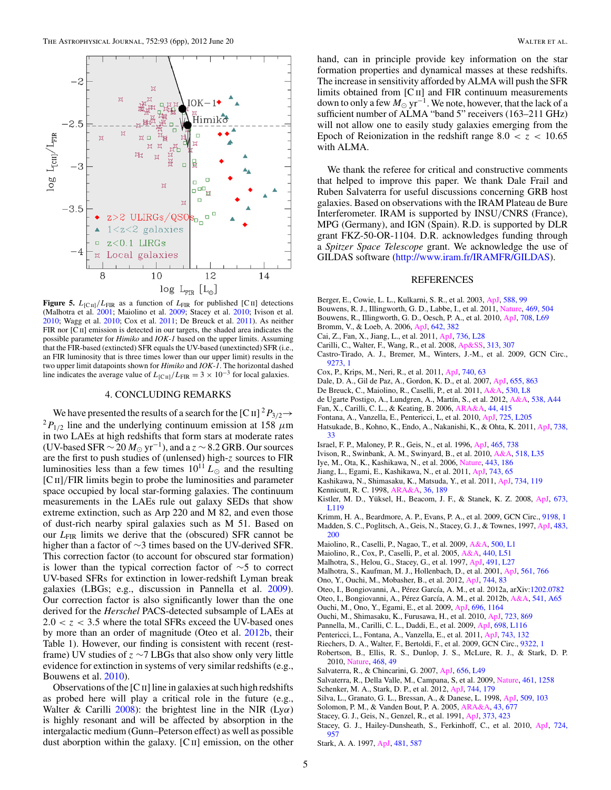<span id="page-4-0"></span>

**Figure 5.**  $L_{\text{[C \text{II}]}}/L_{\text{FIR}}$  as a function of  $L_{\text{FIR}}$  for published [C<sub>II</sub>] detections (Malhotra et al. 2001; Maiolino et al. 2009; Stacey et al. 2010; Ivison et al. 2010; Wagg et al. [2010;](#page-5-0) Cox et al. 2011; De Breuck et al. 2011). As neither FIR nor [CII] emission is detected in our targets, the shaded area indicates the possible parameter for *Himiko* and *IOK-1* based on the upper limits. Assuming that the FIR-based (extincted) SFR equals the UV-based (unextincted) SFR (i.e., an FIR luminosity that is three times lower than our upper limit) results in the two upper limit datapoints shown for *Himiko* and *IOK-1*. The horizontal dashed line indicates the average value of  $L_{\text{[C\,\textsc{ii}]}}/L_{\text{FIR}} = 3 \times 10^{-3}$  for local galaxies.

### 4. CONCLUDING REMARKS

We have presented the results of a search for the  $\text{[C II]}^2 P_{3/2} \rightarrow$ <br><sup>2</sup>*P*<sub>1/2</sub> line and the underlying continuum emission at 158 *μ*m in two LAEs at high redshifts that form stars at moderate rates (UV-based SFR ∼ 20  $M_{\odot}$  yr<sup>-1</sup>), and a *z* ∼ 8.2 GRB. Our sources are the first to push studies of (unlensed) high-*z* sources to FIR luminosities less than a few times  $10^{11} L_{\odot}$  and the resulting [C ii]*/*FIR limits begin to probe the luminosities and parameter space occupied by local star-forming galaxies. The continuum measurements in the LAEs rule out galaxy SEDs that show extreme extinction, such as Arp 220 and M 82, and even those of dust-rich nearby spiral galaxies such as M 51. Based on our *L*<sub>FIR</sub> limits we derive that the (obscured) SFR cannot be higher than a factor of ∼3 times based on the UV-derived SFR. This correction factor (to account for obscured star formation) is lower than the typical correction factor of  $\sim$ 5 to correct UV-based SFRs for extinction in lower-redshift Lyman break galaxies (LBGs; e.g., discussion in Pannella et al. 2009). Our correction factor is also significantly lower than the one derived for the *Herschel* PACS-detected subsample of LAEs at  $2.0 < z < 3.5$  where the total SFRs exceed the UV-based ones by more than an order of magnitude (Oteo et al. 2012b, their Table 1). However, our finding is consistent with recent (restframe) UV studies of *z* ∼7 LBGs that also show only very little evidence for extinction in systems of very similar redshifts (e.g., Bouwens et al. 2010).

Observations of the  $[C_{II}]$  line in galaxies at such high redshifts as probed here will play a critical role in the future (e.g., Walter & Carilli [2008\)](#page-5-0): the brightest line in the NIR (Ly*α*) is highly resonant and will be affected by absorption in the intergalactic medium (Gunn–Peterson effect) as well as possible dust aborption within the galaxy.  $[C<sub>II</sub>]$  emission, on the other

hand, can in principle provide key information on the star formation properties and dynamical masses at these redshifts. The increase in sensitivity afforded by ALMA will push the SFR limits obtained from [C<sub>II</sub>] and FIR continuum measurements down to only a few  $M_{\odot}$  yr<sup>-1</sup>. We note, however, that the lack of a sufficient number of ALMA "band 5" receivers (163-211 GHz) will not allow one to easily study galaxies emerging from the Epoch of Reionization in the redshift range  $8.0 < z < 10.65$ with ALMA.

We thank the referee for critical and constructive comments that helped to improve this paper. We thank Dale Frail and Ruben Salvaterra for useful discussions concerning GRB host galaxies. Based on observations with the IRAM Plateau de Bure Interferometer. IRAM is supported by INSU*/*CNRS (France), MPG (Germany), and IGN (Spain). R.D. is supported by DLR grant FKZ-50-OR-1104. D.R. acknowledges funding through a *Spitzer Space Telescope* grant. We acknowledge the use of GILDAS software [\(http://www.iram.fr/IRAMFR/GILDAS\)](http://www.iram.fr/IRAMFR/GILDAS).

#### REFERENCES

- Berger, E., Cowie, L. L., Kulkarni, S. R., et al. 2003, [ApJ,](http://dx.doi.org/10.1086/373991) [588, 99](http://adsabs.harvard.edu/abs/2003ApJ...588...99B)
- Bouwens, R. J., Illingworth, G. D., Labbe, I., et al. 2011, [Nature,](http://dx.doi.org/10.1038/nature09717) [469, 504](http://adsabs.harvard.edu/abs/2011Natur.469..504B)
- Bouwens, R., Illingworth, G. D., Oesch, P. A., et al. 2010, [ApJ,](http://dx.doi.org/10.1088/2041-8205/708/2/L69) [708, L69](http://adsabs.harvard.edu/abs/2010ApJ...708L..69B)
- Bromm, V., & Loeb, A. 2006, [ApJ,](http://dx.doi.org/10.1086/500799) [642, 382](http://adsabs.harvard.edu/abs/2006ApJ...642..382B)
- Cai, Z., Fan, X., Jiang, L., et al. 2011, [ApJ,](http://dx.doi.org/10.1088/2041-8205/736/2/L28) [736, L28](http://adsabs.harvard.edu/abs/2011ApJ...736L..28C)
- Carilli, C., Walter, F., Wang, R., et al. 2008, [Ap&SS,](http://dx.doi.org/10.1007/s10509-007-9647-9) [313, 307](http://adsabs.harvard.edu/abs/2008Ap&SS.313..307C)
- Castro-Tirado, A. J., Bremer, M., Winters, J.-M., et al. 2009, GCN Circ., [9273, 1](http://adsabs.harvard.edu/abs/2009GCN..9273....1C)
- Cox, P., Krips, M., Neri, R., et al. 2011, [ApJ,](http://dx.doi.org/10.1088/0004-637X/740/2/63) [740, 63](http://adsabs.harvard.edu/abs/2011ApJ...740...63C)
- Dale, D. A., Gil de Paz, A., Gordon, K. D., et al. 2007, [ApJ,](http://dx.doi.org/10.1086/510362) [655, 863](http://adsabs.harvard.edu/abs/2007ApJ...655..863D)
- De Breuck, C., Maiolino, R., Caselli, P., et al. 2011, [A&A,](http://dx.doi.org/10.1051/0004-6361/201116868) [530, L8](http://adsabs.harvard.edu/abs/2011A&A...530L...8D)
- de Ugarte Postigo, A., Lundgren, A., Martín, S., et al. 2012, [A&A,](http://dx.doi.org/10.1051/0004-6361/201117848) [538, A44](http://adsabs.harvard.edu/abs/2012A&A...538A..44D)
- Fan, X., Carilli, C. L., & Keating, B. 2006, [ARA&A,](http://dx.doi.org/10.1146/annurev.astro.44.051905.092514) [44, 415](http://adsabs.harvard.edu/abs/2006ARA&A..44..415F)
- Fontana, A., Vanzella, E., Pentericci, L, et al. 2010, [ApJ,](http://dx.doi.org/10.1088/2041-8205/725/2/L205) [725, L205](http://adsabs.harvard.edu/abs/2010ApJ...725L.205F)
- Hatsukade, B., Kohno, K., Endo, A., Nakanishi, K., & Ohta, K. 2011, [ApJ,](http://dx.doi.org/10.1088/0004-637X/738/1/33) [738,](http://adsabs.harvard.edu/abs/2011ApJ...738...33H) [33](http://adsabs.harvard.edu/abs/2011ApJ...738...33H)
- Israel, F. P., Maloney, P. R., Geis, N., et al. 1996, [ApJ,](http://dx.doi.org/10.1086/177458) [465, 738](http://adsabs.harvard.edu/abs/1996ApJ...465..738I)
- Ivison, R., Swinbank, A. M., Swinyard, B., et al. 2010, [A&A,](http://dx.doi.org/10.1051/0004-6361/201014548) [518, L35](http://adsabs.harvard.edu/abs/2010A&A...518L..35I)
- Iye, M., Ota, K., Kashikawa, N., et al. 2006, [Nature,](http://dx.doi.org/10.1038/nature05104) [443, 186](http://adsabs.harvard.edu/abs/2006Natur.443..186I)
- Jiang, L., Egami, E., Kashikawa, N., et al. 2011, [ApJ,](http://dx.doi.org/10.1088/0004-637X/743/1/65) [743, 65](http://adsabs.harvard.edu/abs/2011ApJ...743...65J)
- Kashikawa, N., Shimasaku, K., Matsuda, Y., et al. 2011, [ApJ,](http://dx.doi.org/10.1088/0004-637X/734/2/119) [734, 119](http://adsabs.harvard.edu/abs/2011ApJ...734..119K)
- Kennicutt, R. C. 1998, [ARA&A,](http://dx.doi.org/10.1146/annurev.astro.36.1.189) [36, 189](http://adsabs.harvard.edu/abs/1998ARA&A..36..189K)
- Kistler, M. D., Yüksel, H., Beacom, J. F., & Stanek, K. Z. 2008, [ApJ,](http://dx.doi.org/10.1086/527671) [673,](http://adsabs.harvard.edu/abs/2008ApJ...673L.119K) [L119](http://adsabs.harvard.edu/abs/2008ApJ...673L.119K)
- Krimm, H. A., Beardmore, A. P., Evans, P. A., et al. 2009, GCN Circ., [9198, 1](http://adsabs.harvard.edu/abs/2009GCN..9198....1K)
- Madden, S. C., Poglitsch, A., Geis, N., Stacey, G. J., & Townes, 1997, [ApJ,](http://dx.doi.org/10.1086/304247) [483,](http://adsabs.harvard.edu/abs/1997ApJ...483..200M) [200](http://adsabs.harvard.edu/abs/1997ApJ...483..200M)
- Maiolino, R., Caselli, P., Nagao, T., et al. 2009, [A&A,](http://dx.doi.org/10.1051/0004-6361/200912265) [500, L1](http://adsabs.harvard.edu/abs/2009A&A...500L...1M)
- Maiolino, R., Cox, P., Caselli, P., et al. 2005, [A&A,](http://dx.doi.org/10.1051/0004-6361:200500165) [440, L51](http://adsabs.harvard.edu/abs/2005A&A...440L..51M)
- Malhotra, S., Helou, G., Stacey, G., et al. 1997, [ApJ,](http://dx.doi.org/10.1086/311044) [491, L27](http://adsabs.harvard.edu/abs/1997ApJ...491L..27M)
- Malhotra, S., Kaufman, M. J., Hollenbach, D., et al. 2001, [ApJ,](http://dx.doi.org/10.1086/323046) [561, 766](http://adsabs.harvard.edu/abs/2001ApJ...561..766M)
- Ono, Y., Ouchi, M., Mobasher, B., et al. 2012, [ApJ,](http://dx.doi.org/10.1088/0004-637X/744/2/83) [744, 83](http://adsabs.harvard.edu/abs/2012ApJ...744...83O)
- Oteo, I., Bongiovanni, A., Pérez García, A. M., et al. 2012a, arXiv[:1202.0782](http://www.arxiv.org/abs/1202.0782)
- Oteo, I., Bongiovanni, A., Pérez García, A. M., et al. 2012b, [A&A,](http://dx.doi.org/10.1051/0004-6361/201016261) [541, A65](http://adsabs.harvard.edu/abs/2012A&A...541A..65O)
- Ouchi, M., Ono, Y., Egami, E., et al. 2009, [ApJ,](http://dx.doi.org/10.1088/0004-637X/696/2/1164) [696, 1164](http://adsabs.harvard.edu/abs/2009ApJ...696.1164O)
- Ouchi, M., Shimasaku, K., Furusawa, H., et al. 2010, [ApJ,](http://dx.doi.org/10.1088/0004-637X/723/1/869) [723, 869](http://adsabs.harvard.edu/abs/2010ApJ...723..869O)
- Pannella, M., Carilli, C. L., Daddi, E., et al. 2009, [ApJ,](http://dx.doi.org/10.1088/0004-637X/698/2/L116) [698, L116](http://adsabs.harvard.edu/abs/2009ApJ...698L.116P)
- Pentericci, L., Fontana, A., Vanzella, E., et al. 2011, [ApJ,](http://dx.doi.org/10.1088/0004-637X/743/2/132) [743, 132](http://adsabs.harvard.edu/abs/2011ApJ...743..132P) Riechers, D. A., Walter, F., Bertoldi, F., et al. 2009, GCN Circ., [9322, 1](http://adsabs.harvard.edu/abs/2009GCN..9322....1R)
- Robertson, B., Ellis, R. S., Dunlop, J. S., McLure, R. J., & Stark, D. P. 2010, [Nature,](http://dx.doi.org/10.1038/nature09527) [468, 49](http://adsabs.harvard.edu/abs/2010Natur.468...49R)
- Salvaterra, R., & Chincarini, G. 2007, [ApJ,](http://dx.doi.org/10.1086/512606) [656, L49](http://adsabs.harvard.edu/abs/2007ApJ...656L..49S)
- Salvaterra, R., Della Valle, M., Campana, S, et al. 2009, [Nature,](http://dx.doi.org/10.1038/nature08445) [461, 1258](http://adsabs.harvard.edu/abs/2009Natur.461.1258S)
- Schenker, M. A., Stark, D. P., et al. 2012, [ApJ,](http://dx.doi.org/10.1088/0004-637X/744/2/179) [744, 179](http://adsabs.harvard.edu/abs/2012ApJ...744..179S)
- Silva, L., Granato, G. L., Bressan, A., & Danese, L. 1998, [ApJ,](http://dx.doi.org/10.1086/306476) [509, 103](http://adsabs.harvard.edu/abs/1998ApJ...509..103S)
- Solomon, P. M., & Vanden Bout, P. A. 2005, [ARA&A,](http://dx.doi.org/10.1146/annurev.astro.43.051804.102221) [43, 677](http://adsabs.harvard.edu/abs/2005ARA&A..43..677S)
- Stacey, G. J., Geis, N., Genzel, R., et al. 1991, [ApJ,](http://dx.doi.org/10.1086/170062) [373, 423](http://adsabs.harvard.edu/abs/1991ApJ...373..423S)
- Stacey, G. J., Hailey-Dunsheath, S., Ferkinhoff, C., et al. 2010, [ApJ,](http://dx.doi.org/10.1088/0004-637X/724/2/957) [724,](http://adsabs.harvard.edu/abs/2010ApJ...724..957S) [957](http://adsabs.harvard.edu/abs/2010ApJ...724..957S)
- Stark, A. A. 1997, [ApJ,](http://dx.doi.org/10.1086/304099) [481, 587](http://adsabs.harvard.edu/abs/1997ApJ...481..587S)